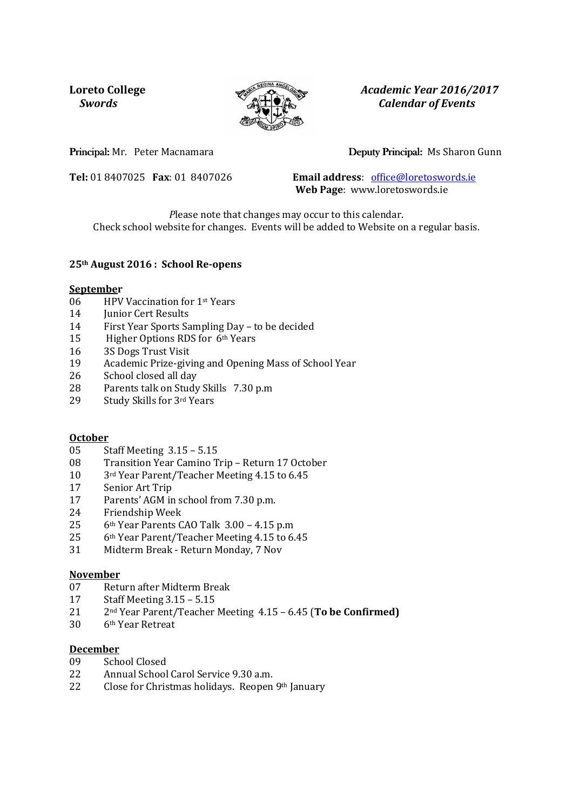

**Loreto College** *Academic Year 2016/2017 Swords Calendar of Events* 

## Principal: Mr. Peter Macnamara Deputy Principal: Ms Sharon Gunn

**Tel:** 01 8407025 **Fax**: 01 8407026 **Email address**: office@loretoswords.ie **Web Page**: www.loretoswords.ie

*P*lease note that changes may occur to this calendar. Check school website for changes. Events will be added to Website on a regular basis.

#### **25th August 2016 : School Re-opens**

#### **September**

- 06 HPV Vaccination for 1st Years
- 14 **Junior Cert Results**
- 14 First Year Sports Sampling Day to be decided
- 15 Higher Options RDS for 6th Years
- 16 3S Dogs Trust Visit
- 19 Academic Prize-giving and Opening Mass of School Year
- 26 School closed all day
- 28 Parents talk on Study Skills 7.30 p.m
- 29 Study Skills for 3rd Years

## **October**

- 05 Staff Meeting 3.15 5.15
- 08 Transition Year Camino Trip Return 17 October
- 10 3rd Year Parent/Teacher Meeting 4.15 to 6.45
- 17 Senior Art Trip
- 17 Parents' AGM in school from 7.30 p.m.<br>24 Friendship Week
- Friendship Week
- 25 6th Year Parents CAO Talk 3.00 4.15 p.m
- 25 6th Year Parent/Teacher Meeting 4.15 to 6.45
- 31 Midterm Break Return Monday, 7 Nov

#### **November**

- 07 Return after Midterm Break
- 17 Staff Meeting 3.15 5.15
- 21 2nd Year Parent/Teacher Meeting 4.15 6.45 (**To be Confirmed)**
- 30 6th Year Retreat

#### **December**

- 09 School Closed
- 22 Annual School Carol Service 9.30 a.m.
- 22 Close for Christmas holidays. Reopen 9th January